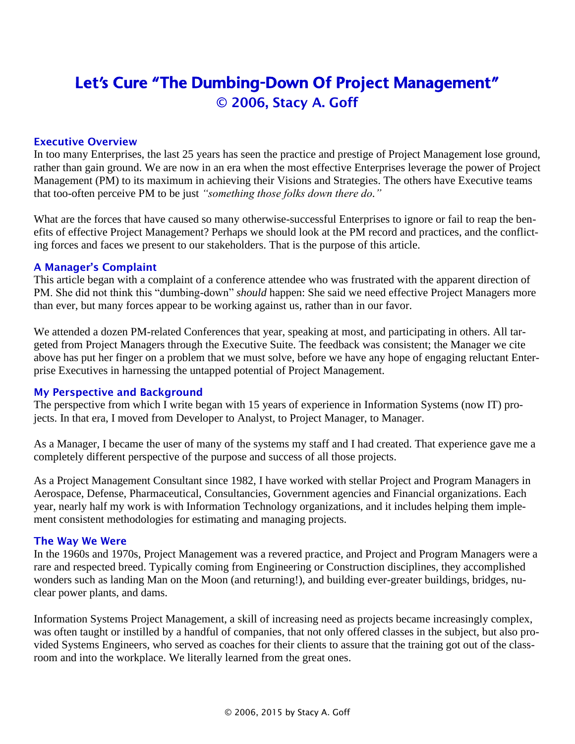# Let's Cure "The Dumbing-Down Of Project Management" © 2006, Stacy A. Goff

### Executive Overview

In too many Enterprises, the last 25 years has seen the practice and prestige of Project Management lose ground, rather than gain ground. We are now in an era when the most effective Enterprises leverage the power of Project Management (PM) to its maximum in achieving their Visions and Strategies. The others have Executive teams that too-often perceive PM to be just *"something those folks down there do."*

What are the forces that have caused so many otherwise-successful Enterprises to ignore or fail to reap the benefits of effective Project Management? Perhaps we should look at the PM record and practices, and the conflicting forces and faces we present to our stakeholders. That is the purpose of this article.

#### A Manager's Complaint

This article began with a complaint of a conference attendee who was frustrated with the apparent direction of PM. She did not think this "dumbing-down" *should* happen: She said we need effective Project Managers more than ever, but many forces appear to be working against us, rather than in our favor.

We attended a dozen PM-related Conferences that year, speaking at most, and participating in others. All targeted from Project Managers through the Executive Suite. The feedback was consistent; the Manager we cite above has put her finger on a problem that we must solve, before we have any hope of engaging reluctant Enterprise Executives in harnessing the untapped potential of Project Management.

#### My Perspective and Background

The perspective from which I write began with 15 years of experience in Information Systems (now IT) projects. In that era, I moved from Developer to Analyst, to Project Manager, to Manager.

As a Manager, I became the user of many of the systems my staff and I had created. That experience gave me a completely different perspective of the purpose and success of all those projects.

As a Project Management Consultant since 1982, I have worked with stellar Project and Program Managers in Aerospace, Defense, Pharmaceutical, Consultancies, Government agencies and Financial organizations. Each year, nearly half my work is with Information Technology organizations, and it includes helping them implement consistent methodologies for estimating and managing projects.

#### The Way We Were

In the 1960s and 1970s, Project Management was a revered practice, and Project and Program Managers were a rare and respected breed. Typically coming from Engineering or Construction disciplines, they accomplished wonders such as landing Man on the Moon (and returning!), and building ever-greater buildings, bridges, nuclear power plants, and dams.

Information Systems Project Management, a skill of increasing need as projects became increasingly complex, was often taught or instilled by a handful of companies, that not only offered classes in the subject, but also provided Systems Engineers, who served as coaches for their clients to assure that the training got out of the classroom and into the workplace. We literally learned from the great ones.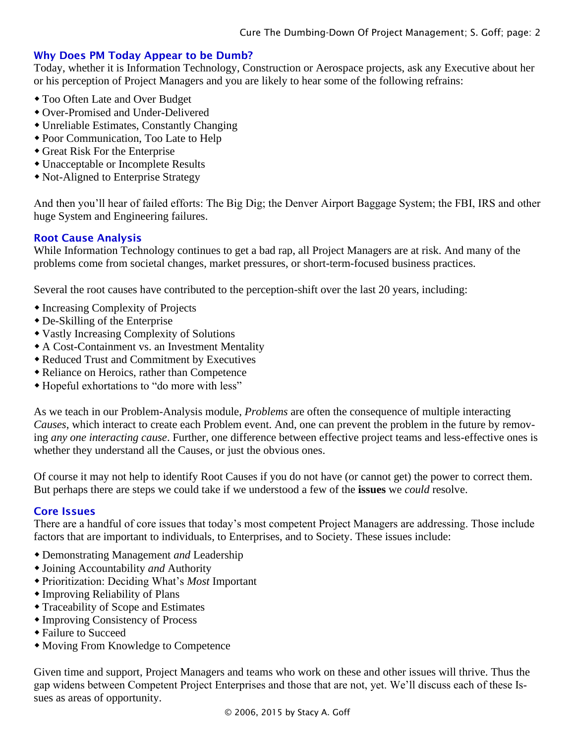## Why Does PM Today Appear to be Dumb?

Today, whether it is Information Technology, Construction or Aerospace projects, ask any Executive about her or his perception of Project Managers and you are likely to hear some of the following refrains:

- Too Often Late and Over Budget
- Over-Promised and Under-Delivered
- Unreliable Estimates, Constantly Changing
- Poor Communication, Too Late to Help
- Great Risk For the Enterprise
- Unacceptable or Incomplete Results
- Not-Aligned to Enterprise Strategy

And then you'll hear of failed efforts: The Big Dig; the Denver Airport Baggage System; the FBI, IRS and other huge System and Engineering failures.

## Root Cause Analysis

While Information Technology continues to get a bad rap, all Project Managers are at risk. And many of the problems come from societal changes, market pressures, or short-term-focused business practices.

Several the root causes have contributed to the perception-shift over the last 20 years, including:

- Increasing Complexity of Projects
- De-Skilling of the Enterprise
- Vastly Increasing Complexity of Solutions
- A Cost-Containment vs. an Investment Mentality
- Reduced Trust and Commitment by Executives
- Reliance on Heroics, rather than Competence
- Hopeful exhortations to "do more with less"

As we teach in our Problem-Analysis module, *Problems* are often the consequence of multiple interacting *Causes*, which interact to create each Problem event. And, one can prevent the problem in the future by removing *any one interacting cause*. Further, one difference between effective project teams and less-effective ones is whether they understand all the Causes, or just the obvious ones.

Of course it may not help to identify Root Causes if you do not have (or cannot get) the power to correct them. But perhaps there are steps we could take if we understood a few of the **issues** we *could* resolve.

## Core Issues

There are a handful of core issues that today's most competent Project Managers are addressing. Those include factors that are important to individuals, to Enterprises, and to Society. These issues include:

- Demonstrating Management *and* Leadership
- Joining Accountability *and* Authority
- Prioritization: Deciding What's *Most* Important
- Improving Reliability of Plans
- Traceability of Scope and Estimates
- Improving Consistency of Process
- Failure to Succeed
- Moving From Knowledge to Competence

Given time and support, Project Managers and teams who work on these and other issues will thrive. Thus the gap widens between Competent Project Enterprises and those that are not, yet. We'll discuss each of these Issues as areas of opportunity.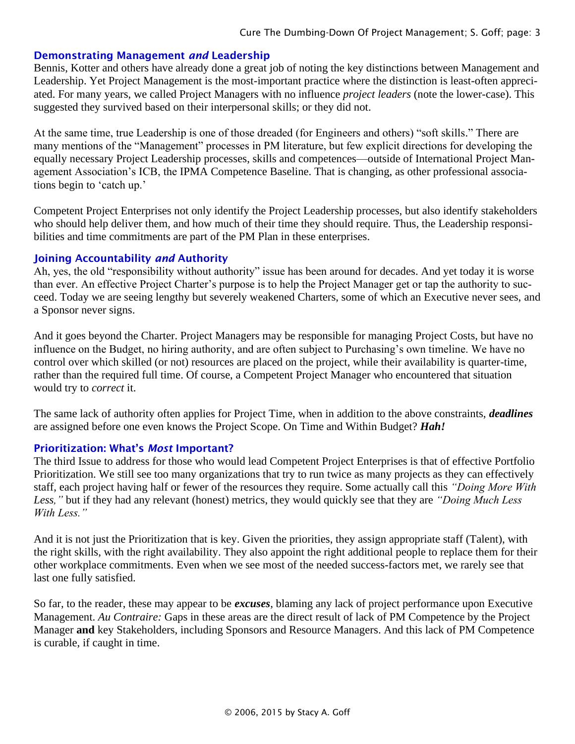#### Demonstrating Management *and* Leadership

Bennis, Kotter and others have already done a great job of noting the key distinctions between Management and Leadership. Yet Project Management is the most-important practice where the distinction is least-often appreciated. For many years, we called Project Managers with no influence *project leaders* (note the lower-case). This suggested they survived based on their interpersonal skills; or they did not.

At the same time, true Leadership is one of those dreaded (for Engineers and others) "soft skills." There are many mentions of the "Management" processes in PM literature, but few explicit directions for developing the equally necessary Project Leadership processes, skills and competences—outside of International Project Management Association's ICB, the IPMA Competence Baseline. That is changing, as other professional associations begin to 'catch up.'

Competent Project Enterprises not only identify the Project Leadership processes, but also identify stakeholders who should help deliver them, and how much of their time they should require. Thus, the Leadership responsibilities and time commitments are part of the PM Plan in these enterprises.

#### Joining Accountability *and* Authority

Ah, yes, the old "responsibility without authority" issue has been around for decades. And yet today it is worse than ever. An effective Project Charter's purpose is to help the Project Manager get or tap the authority to succeed. Today we are seeing lengthy but severely weakened Charters, some of which an Executive never sees, and a Sponsor never signs.

And it goes beyond the Charter. Project Managers may be responsible for managing Project Costs, but have no influence on the Budget, no hiring authority, and are often subject to Purchasing's own timeline. We have no control over which skilled (or not) resources are placed on the project, while their availability is quarter-time, rather than the required full time. Of course, a Competent Project Manager who encountered that situation would try to *correct* it.

The same lack of authority often applies for Project Time, when in addition to the above constraints, *deadlines* are assigned before one even knows the Project Scope. On Time and Within Budget? *Hah!*

#### Prioritization: What's *Most* Important?

The third Issue to address for those who would lead Competent Project Enterprises is that of effective Portfolio Prioritization. We still see too many organizations that try to run twice as many projects as they can effectively staff, each project having half or fewer of the resources they require. Some actually call this *"Doing More With Less,"* but if they had any relevant (honest) metrics, they would quickly see that they are *"Doing Much Less With Less."*

And it is not just the Prioritization that is key. Given the priorities, they assign appropriate staff (Talent), with the right skills, with the right availability. They also appoint the right additional people to replace them for their other workplace commitments. Even when we see most of the needed success-factors met, we rarely see that last one fully satisfied.

So far, to the reader, these may appear to be *excuses*, blaming any lack of project performance upon Executive Management. *Au Contraire:* Gaps in these areas are the direct result of lack of PM Competence by the Project Manager **and** key Stakeholders, including Sponsors and Resource Managers. And this lack of PM Competence is curable, if caught in time.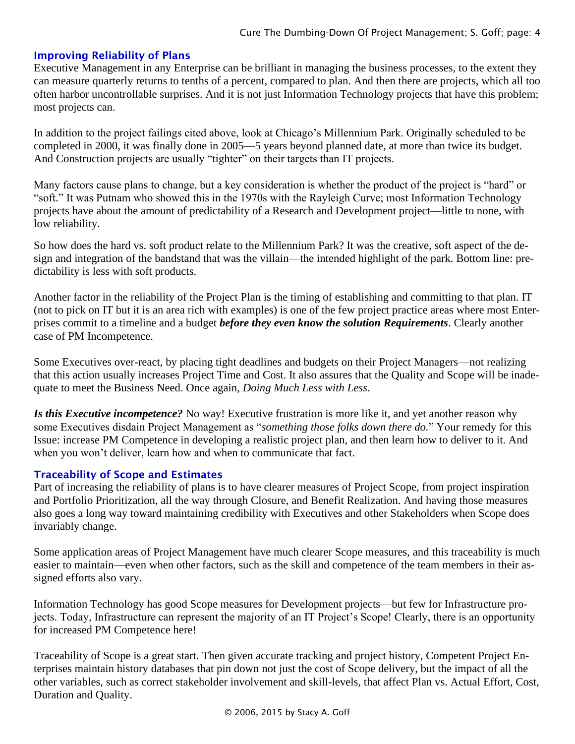## Improving Reliability of Plans

Executive Management in any Enterprise can be brilliant in managing the business processes, to the extent they can measure quarterly returns to tenths of a percent, compared to plan. And then there are projects, which all too often harbor uncontrollable surprises. And it is not just Information Technology projects that have this problem; most projects can.

In addition to the project failings cited above, look at Chicago's Millennium Park. Originally scheduled to be completed in 2000, it was finally done in 2005—5 years beyond planned date, at more than twice its budget. And Construction projects are usually "tighter" on their targets than IT projects.

Many factors cause plans to change, but a key consideration is whether the product of the project is "hard" or "soft." It was Putnam who showed this in the 1970s with the Rayleigh Curve; most Information Technology projects have about the amount of predictability of a Research and Development project—little to none, with low reliability.

So how does the hard vs. soft product relate to the Millennium Park? It was the creative, soft aspect of the design and integration of the bandstand that was the villain—the intended highlight of the park. Bottom line: predictability is less with soft products.

Another factor in the reliability of the Project Plan is the timing of establishing and committing to that plan. IT (not to pick on IT but it is an area rich with examples) is one of the few project practice areas where most Enterprises commit to a timeline and a budget *before they even know the solution Requirements*. Clearly another case of PM Incompetence.

Some Executives over-react, by placing tight deadlines and budgets on their Project Managers—not realizing that this action usually increases Project Time and Cost. It also assures that the Quality and Scope will be inadequate to meet the Business Need. Once again, *Doing Much Less with Less*.

*Is this Executive incompetence?* No way! Executive frustration is more like it, and yet another reason why some Executives disdain Project Management as "*something those folks down there do.*" Your remedy for this Issue: increase PM Competence in developing a realistic project plan, and then learn how to deliver to it. And when you won't deliver, learn how and when to communicate that fact.

# Traceability of Scope and Estimates

Part of increasing the reliability of plans is to have clearer measures of Project Scope, from project inspiration and Portfolio Prioritization, all the way through Closure, and Benefit Realization. And having those measures also goes a long way toward maintaining credibility with Executives and other Stakeholders when Scope does invariably change.

Some application areas of Project Management have much clearer Scope measures, and this traceability is much easier to maintain—even when other factors, such as the skill and competence of the team members in their assigned efforts also vary.

Information Technology has good Scope measures for Development projects—but few for Infrastructure projects. Today, Infrastructure can represent the majority of an IT Project's Scope! Clearly, there is an opportunity for increased PM Competence here!

Traceability of Scope is a great start. Then given accurate tracking and project history, Competent Project Enterprises maintain history databases that pin down not just the cost of Scope delivery, but the impact of all the other variables, such as correct stakeholder involvement and skill-levels, that affect Plan vs. Actual Effort, Cost, Duration and Quality.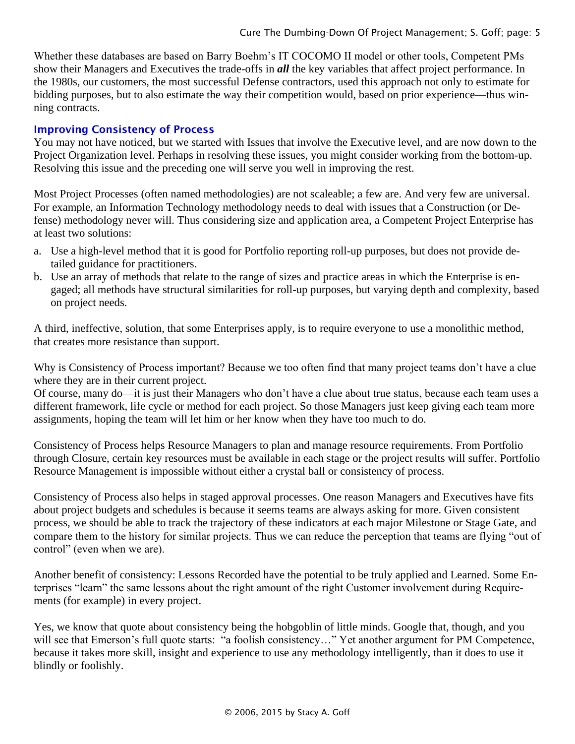Whether these databases are based on Barry Boehm's IT COCOMO II model or other tools, Competent PMs show their Managers and Executives the trade-offs in *all* the key variables that affect project performance. In the 1980s, our customers, the most successful Defense contractors, used this approach not only to estimate for bidding purposes, but to also estimate the way their competition would, based on prior experience—thus winning contracts.

## Improving Consistency of Process

You may not have noticed, but we started with Issues that involve the Executive level, and are now down to the Project Organization level. Perhaps in resolving these issues, you might consider working from the bottom-up. Resolving this issue and the preceding one will serve you well in improving the rest.

Most Project Processes (often named methodologies) are not scaleable; a few are. And very few are universal. For example, an Information Technology methodology needs to deal with issues that a Construction (or Defense) methodology never will. Thus considering size and application area, a Competent Project Enterprise has at least two solutions:

- a. Use a high-level method that it is good for Portfolio reporting roll-up purposes, but does not provide detailed guidance for practitioners.
- b. Use an array of methods that relate to the range of sizes and practice areas in which the Enterprise is engaged; all methods have structural similarities for roll-up purposes, but varying depth and complexity, based on project needs.

A third, ineffective, solution, that some Enterprises apply, is to require everyone to use a monolithic method, that creates more resistance than support.

Why is Consistency of Process important? Because we too often find that many project teams don't have a clue where they are in their current project.

Of course, many do—it is just their Managers who don't have a clue about true status, because each team uses a different framework, life cycle or method for each project. So those Managers just keep giving each team more assignments, hoping the team will let him or her know when they have too much to do.

Consistency of Process helps Resource Managers to plan and manage resource requirements. From Portfolio through Closure, certain key resources must be available in each stage or the project results will suffer. Portfolio Resource Management is impossible without either a crystal ball or consistency of process.

Consistency of Process also helps in staged approval processes. One reason Managers and Executives have fits about project budgets and schedules is because it seems teams are always asking for more. Given consistent process, we should be able to track the trajectory of these indicators at each major Milestone or Stage Gate, and compare them to the history for similar projects. Thus we can reduce the perception that teams are flying "out of control" (even when we are).

Another benefit of consistency: Lessons Recorded have the potential to be truly applied and Learned. Some Enterprises "learn" the same lessons about the right amount of the right Customer involvement during Requirements (for example) in every project.

Yes, we know that quote about consistency being the hobgoblin of little minds. Google that, though, and you will see that Emerson's full quote starts: "a foolish consistency..." Yet another argument for PM Competence, because it takes more skill, insight and experience to use any methodology intelligently, than it does to use it blindly or foolishly.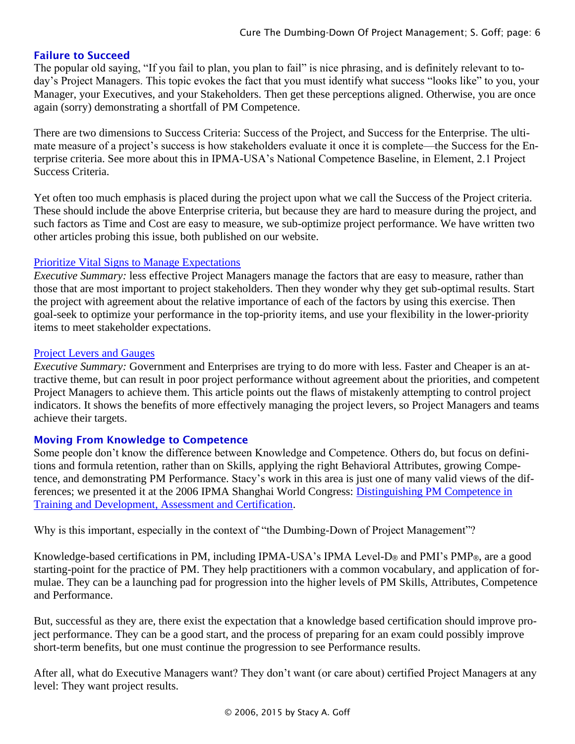# Failure to Succeed

The popular old saying, "If you fail to plan, you plan to fail" is nice phrasing, and is definitely relevant to today's Project Managers. This topic evokes the fact that you must identify what success "looks like" to you, your Manager, your Executives, and your Stakeholders. Then get these perceptions aligned. Otherwise, you are once again (sorry) demonstrating a shortfall of PM Competence.

There are two dimensions to Success Criteria: Success of the Project, and Success for the Enterprise. The ultimate measure of a project's success is how stakeholders evaluate it once it is complete—the Success for the Enterprise criteria. See more about this in IPMA-USA's National Competence Baseline, in Element, 2.1 Project Success Criteria.

Yet often too much emphasis is placed during the project upon what we call the Success of the Project criteria. These should include the above Enterprise criteria, but because they are hard to measure during the project, and such factors as Time and Cost are easy to measure, we sub-optimize project performance. We have written two other articles probing this issue, both published on our website.

## [Prioritize Vital Signs to Manage Expectations](http://stacygoff.com/assets/UsingProjectVitalSigns.pdf)

*Executive Summary:* less effective Project Managers manage the factors that are easy to measure, rather than those that are most important to project stakeholders. Then they wonder why they get sub-optimal results. Start the project with agreement about the relative importance of each of the factors by using this exercise. Then goal-seek to optimize your performance in the top-priority items, and use your flexibility in the lower-priority items to meet stakeholder expectations.

#### [Project Levers and Gauges](http://stacygoff.com/assets/ProjectLeversAndGauges.pdf)

*Executive Summary:* Government and Enterprises are trying to do more with less. Faster and Cheaper is an attractive theme, but can result in poor project performance without agreement about the priorities, and competent Project Managers to achieve them. This article points out the flaws of mistakenly attempting to control project indicators. It shows the benefits of more effectively managing the project levers, so Project Managers and teams achieve their targets.

## Moving From Knowledge to Competence

Some people don't know the difference between Knowledge and Competence. Others do, but focus on definitions and formula retention, rather than on Skills, applying the right Behavioral Attributes, growing Competence, and demonstrating PM Performance. Stacy's work in this area is just one of many valid views of the differences; we presented it at the 2006 IPMA Shanghai World Congress: [Distinguishing PM Competence in](http://stacygoff.com/assets/DistinguishingPMCompetence.pdf)  [Training and Development, Assessment and Certification.](http://stacygoff.com/assets/DistinguishingPMCompetence.pdf)

Why is this important, especially in the context of "the Dumbing-Down of Project Management"?

Knowledge-based certifications in PM, including IPMA-USA's IPMA Level-D<sub>®</sub> and PMI's PMP<sub>®</sub>, are a good starting-point for the practice of PM. They help practitioners with a common vocabulary, and application of formulae. They can be a launching pad for progression into the higher levels of PM Skills, Attributes, Competence and Performance.

But, successful as they are, there exist the expectation that a knowledge based certification should improve project performance. They can be a good start, and the process of preparing for an exam could possibly improve short-term benefits, but one must continue the progression to see Performance results.

After all, what do Executive Managers want? They don't want (or care about) certified Project Managers at any level: They want project results.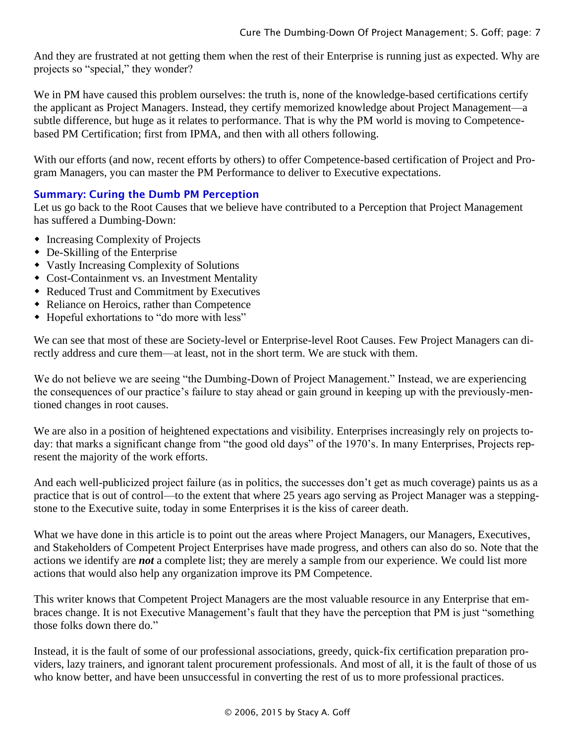And they are frustrated at not getting them when the rest of their Enterprise is running just as expected. Why are projects so "special," they wonder?

We in PM have caused this problem ourselves: the truth is, none of the knowledge-based certifications certify the applicant as Project Managers. Instead, they certify memorized knowledge about Project Management—a subtle difference, but huge as it relates to performance. That is why the PM world is moving to Competencebased PM Certification; first from IPMA, and then with all others following.

With our efforts (and now, recent efforts by others) to offer Competence-based certification of Project and Program Managers, you can master the PM Performance to deliver to Executive expectations.

# Summary: Curing the Dumb PM Perception

Let us go back to the Root Causes that we believe have contributed to a Perception that Project Management has suffered a Dumbing-Down:

- Increasing Complexity of Projects
- De-Skilling of the Enterprise
- Vastly Increasing Complexity of Solutions
- Cost-Containment vs. an Investment Mentality
- Reduced Trust and Commitment by Executives
- Reliance on Heroics, rather than Competence
- Hopeful exhortations to "do more with less"

We can see that most of these are Society-level or Enterprise-level Root Causes. Few Project Managers can directly address and cure them—at least, not in the short term. We are stuck with them.

We do not believe we are seeing "the Dumbing-Down of Project Management." Instead, we are experiencing the consequences of our practice's failure to stay ahead or gain ground in keeping up with the previously-mentioned changes in root causes.

We are also in a position of heightened expectations and visibility. Enterprises increasingly rely on projects today: that marks a significant change from "the good old days" of the 1970's. In many Enterprises, Projects represent the majority of the work efforts.

And each well-publicized project failure (as in politics, the successes don't get as much coverage) paints us as a practice that is out of control—to the extent that where 25 years ago serving as Project Manager was a steppingstone to the Executive suite, today in some Enterprises it is the kiss of career death.

What we have done in this article is to point out the areas where Project Managers, our Managers, Executives, and Stakeholders of Competent Project Enterprises have made progress, and others can also do so. Note that the actions we identify are *not* a complete list; they are merely a sample from our experience. We could list more actions that would also help any organization improve its PM Competence.

This writer knows that Competent Project Managers are the most valuable resource in any Enterprise that embraces change. It is not Executive Management's fault that they have the perception that PM is just "something those folks down there do."

Instead, it is the fault of some of our professional associations, greedy, quick-fix certification preparation providers, lazy trainers, and ignorant talent procurement professionals. And most of all, it is the fault of those of us who know better, and have been unsuccessful in converting the rest of us to more professional practices.